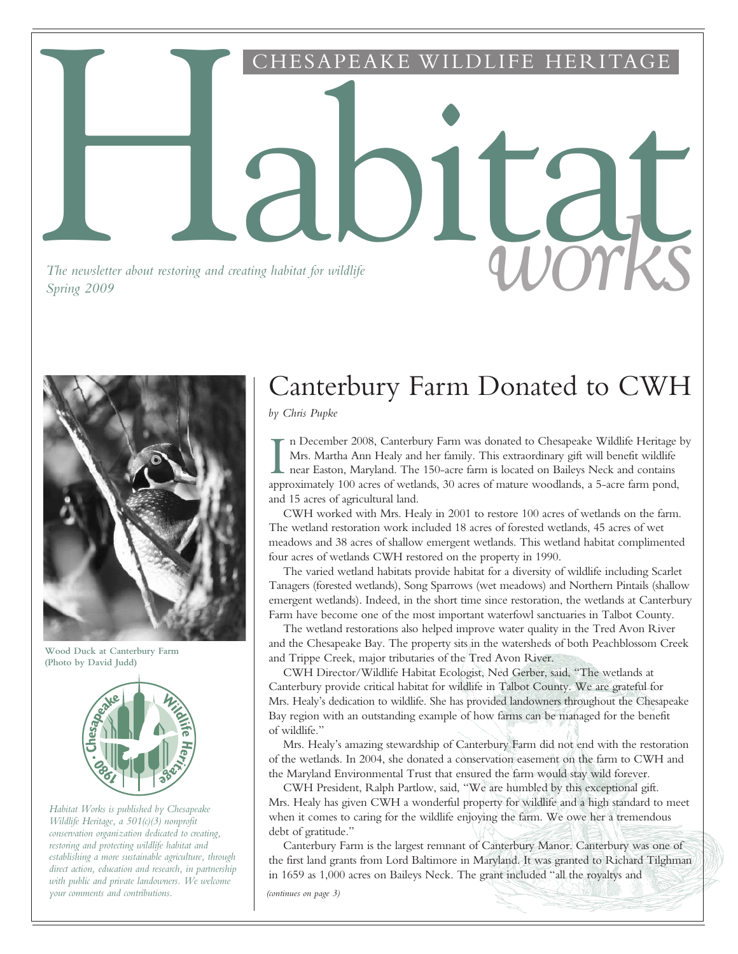Habitat CHESAPEAKE WILDLIFE HERITAGE

*The newsletter about restoring and creating habitat for wildlife The newsletter about restoring and creating habitat for wildlife* and *COV works* 



**Wood Duck at Canterbury Farm (Photo by David Judd)**



*Habitat Works is published by Chesapeake Wildlife Heritage, a 501(c)(3) nonprofit conservation organization dedicated to creating, restoring and protecting wildlife habitat and establishing a more sustainable agriculture, through direct action, education and research, in partnership with public and private landowners. We welcome your comments and contributions.*

# Canterbury Farm Donated to CWH

*by Chris Pupke*

In December 2008, Canterbury Farm was donated to Chesapeake Wildlife Heritage<br>Mrs. Martha Ann Healy and her family. This extraordinary gift will benefit wildlife<br>near Easton, Maryland. The 150-acre farm is located on Baile n December 2008, Canterbury Farm was donated to Chesapeake Wildlife Heritage by Mrs. Martha Ann Healy and her family. This extraordinary gift will benefit wildlife near Easton, Maryland. The 150-acre farm is located on Baileys Neck and contains and 15 acres of agricultural land.

CWH worked with Mrs. Healy in 2001 to restore 100 acres of wetlands on the farm. The wetland restoration work included 18 acres of forested wetlands, 45 acres of wet meadows and 38 acres of shallow emergent wetlands. This wetland habitat complimented four acres of wetlands CWH restored on the property in 1990.

The varied wetland habitats provide habitat for a diversity of wildlife including Scarlet Tanagers (forested wetlands), Song Sparrows (wet meadows) and Northern Pintails (shallow emergent wetlands). Indeed, in the short time since restoration, the wetlands at Canterbury Farm have become one of the most important waterfowl sanctuaries in Talbot County.

The wetland restorations also helped improve water quality in the Tred Avon River and the Chesapeake Bay. The property sits in the watersheds of both Peachblossom Creek and Trippe Creek, major tributaries of the Tred Avon River.

CWH Director/Wildlife Habitat Ecologist, Ned Gerber, said, "The wetlands at Canterbury provide critical habitat for wildlife in Talbot County. We are grateful for Mrs. Healy's dedication to wildlife. She has provided landowners throughout the Chesapeake Bay region with an outstanding example of how farms can be managed for the benefit of wildlife."

Mrs. Healy's amazing stewardship of Canterbury Farm did not end with the restoration of the wetlands. In 2004, she donated a conservation easement on the farm to CWH and the Maryland Environmental Trust that ensured the farm would stay wild forever.

CWH President, Ralph Partlow, said, "We are humbled by this exceptional gift. Mrs. Healy has given CWH a wonderful property for wildlife and a high standard to meet when it comes to caring for the wildlife enjoying the farm. We owe her a tremendous debt of gratitude."

Canterbury Farm is the largest remnant of Canterbury Manor. Canterbury was one of the first land grants from Lord Baltimore in Maryland. It was granted to Richard Tilghman in 1659 as 1,000 acres on Baileys Neck. The grant included "all the royaltys and

*(continues on page 3)*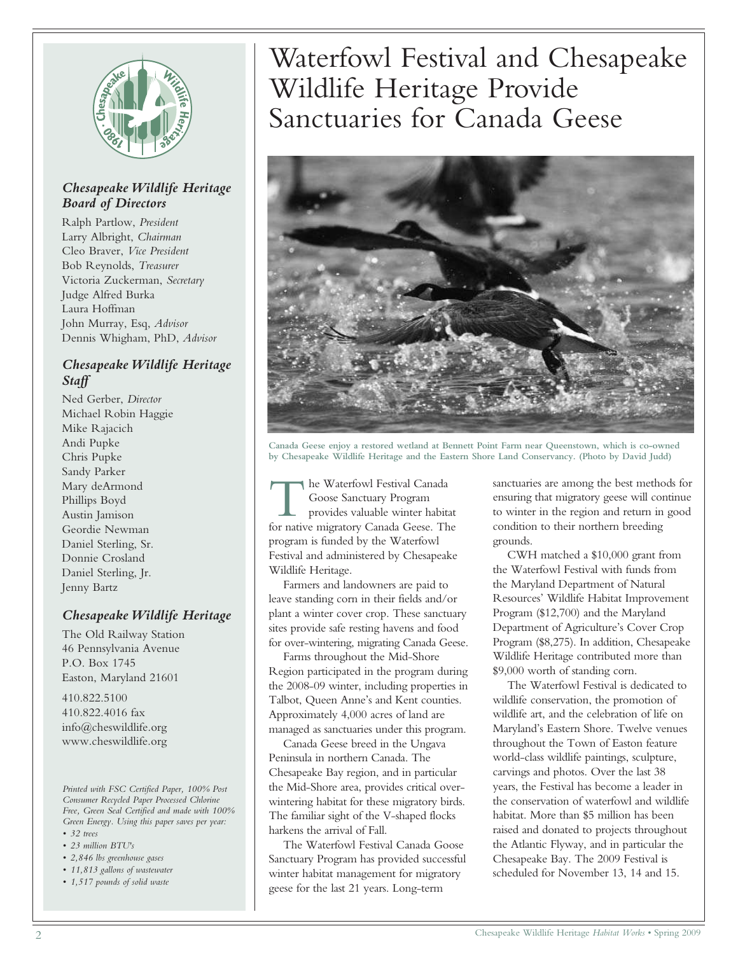

### *Chesapeake Wildlife Heritage Board of Directors*

Ralph Partlow, *President* Larry Albright, *Chairman* Cleo Braver, *Vice President* Bob Reynolds, *Treasurer* Victoria Zuckerman, *Secretary* Judge Alfred Burka Laura Hoffman John Murray, Esq, *Advisor* Dennis Whigham, PhD, *Advisor*

### *Chesapeake Wildlife Heritage Staff*

Ned Gerber, *Director* Michael Robin Haggie Mike Rajacich Andi Pupke Chris Pupke Sandy Parker Mary deArmond Phillips Boyd Austin Jamison Geordie Newman Daniel Sterling, Sr. Donnie Crosland Daniel Sterling, Jr. Jenny Bartz

### *Chesapeake Wildlife Heritage*

The Old Railway Station 46 Pennsylvania Avenue P.O. Box 1745 Easton, Maryland 21601

410.822.5100 410.822.4016 fax info@cheswildlife.org www.cheswildlife.org

*Printed with FSC Certified Paper, 100% Post Consumer Recycled Paper Processed Chlorine Free, Green Seal Certified and made with 100% Green Energy. Using this paper saves per year:*

- *32 trees*
- *23 million BTU's*
- *2,846 lbs greenhouse gases*
- *11,813 gallons of wastewater • 1,517 pounds of solid waste*

Waterfowl Festival and Chesapeake Wildlife Heritage Provide Sanctuaries for Canada Geese



**Canada Geese enjoy a restored wetland at Bennett Point Farm near Queenstown, which is co-owned by Chesapeake Wildlife Heritage and the Eastern Shore Land Conservancy. (Photo by David Judd)**

The Waterfowl Festival Canada<br>
Goose Sanctuary Program<br>
provides valuable winter habitat<br>
for native migratory Canada Geese. The he Waterfowl Festival Canada Goose Sanctuary Program provides valuable winter habitat program is funded by the Waterfowl Festival and administered by Chesapeake Wildlife Heritage.

Farmers and landowners are paid to leave standing corn in their fields and/or plant a winter cover crop. These sanctuary sites provide safe resting havens and food for over-wintering, migrating Canada Geese.

Farms throughout the Mid-Shore Region participated in the program during the 2008-09 winter, including properties in Talbot, Queen Anne's and Kent counties. Approximately 4,000 acres of land are managed as sanctuaries under this program.

Canada Geese breed in the Ungava Peninsula in northern Canada. The Chesapeake Bay region, and in particular the Mid-Shore area, provides critical overwintering habitat for these migratory birds. The familiar sight of the V-shaped flocks harkens the arrival of Fall.

The Waterfowl Festival Canada Goose Sanctuary Program has provided successful winter habitat management for migratory geese for the last 21 years. Long-term

sanctuaries are among the best methods for ensuring that migratory geese will continue to winter in the region and return in good condition to their northern breeding grounds.

CWH matched a \$10,000 grant from the Waterfowl Festival with funds from the Maryland Department of Natural Resources' Wildlife Habitat Improvement Program (\$12,700) and the Maryland Department of Agriculture's Cover Crop Program (\$8,275). In addition, Chesapeake Wildlife Heritage contributed more than \$9,000 worth of standing corn.

The Waterfowl Festival is dedicated to wildlife conservation, the promotion of wildlife art, and the celebration of life on Maryland's Eastern Shore. Twelve venues throughout the Town of Easton feature world-class wildlife paintings, sculpture, carvings and photos. Over the last 38 years, the Festival has become a leader in the conservation of waterfowl and wildlife habitat. More than \$5 million has been raised and donated to projects throughout the Atlantic Flyway, and in particular the Chesapeake Bay. The 2009 Festival is scheduled for November 13, 14 and 15.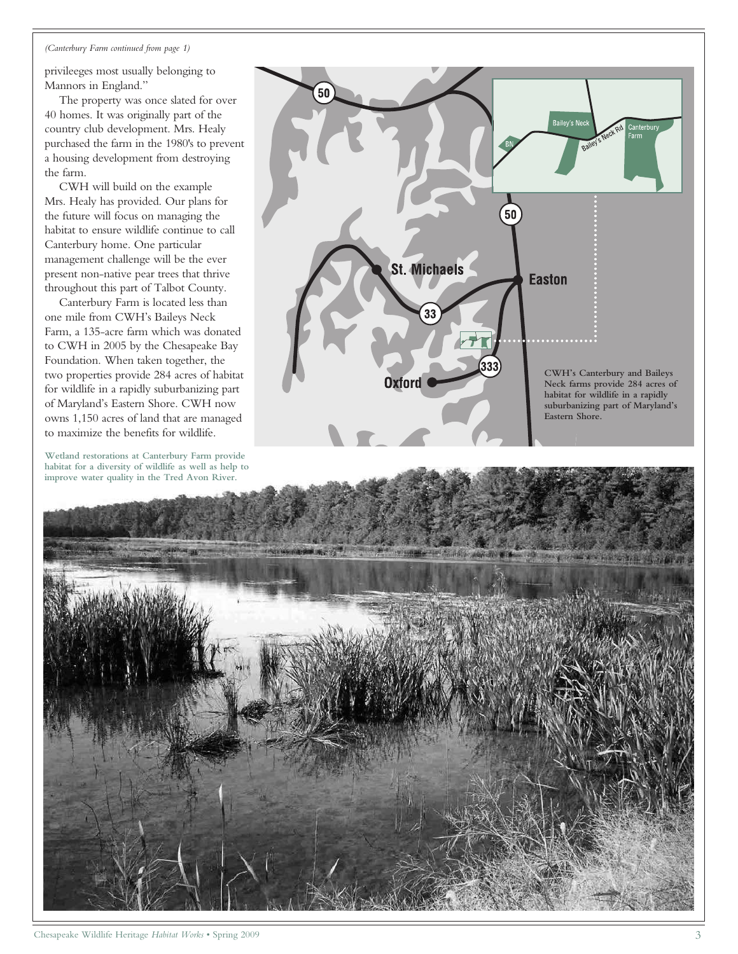### *(Canterbury Farm continued from page 1)*

privileeges most usually belonging to Mannors in England."

The property was once slated for over 40 homes. It was originally part of the country club development. Mrs. Healy purchased the farm in the 1980's to prevent a housing development from destroying the farm.

CWH will build on the example Mrs. Healy has provided. Our plans for the future will focus on managing the habitat to ensure wildlife continue to call Canterbury home. One particular management challenge will be the ever present non-native pear trees that thrive throughout this part of Talbot County.

Canterbury Farm is located less than one mile from CWH's Baileys Neck Farm, a 135-acre farm which was donated to CWH in 2005 by the Chesapeake Bay Foundation. When taken together, the two properties provide 284 acres of habitat for wildlife in a rapidly suburbanizing part of Maryland's Eastern Shore. CWH now owns 1,150 acres of land that are managed to maximize the benefits for wildlife.

**Wetland restorations at Canterbury Farm provide habitat for a diversity of wildlife as well as help to improve water quality in the Tred Avon River.**



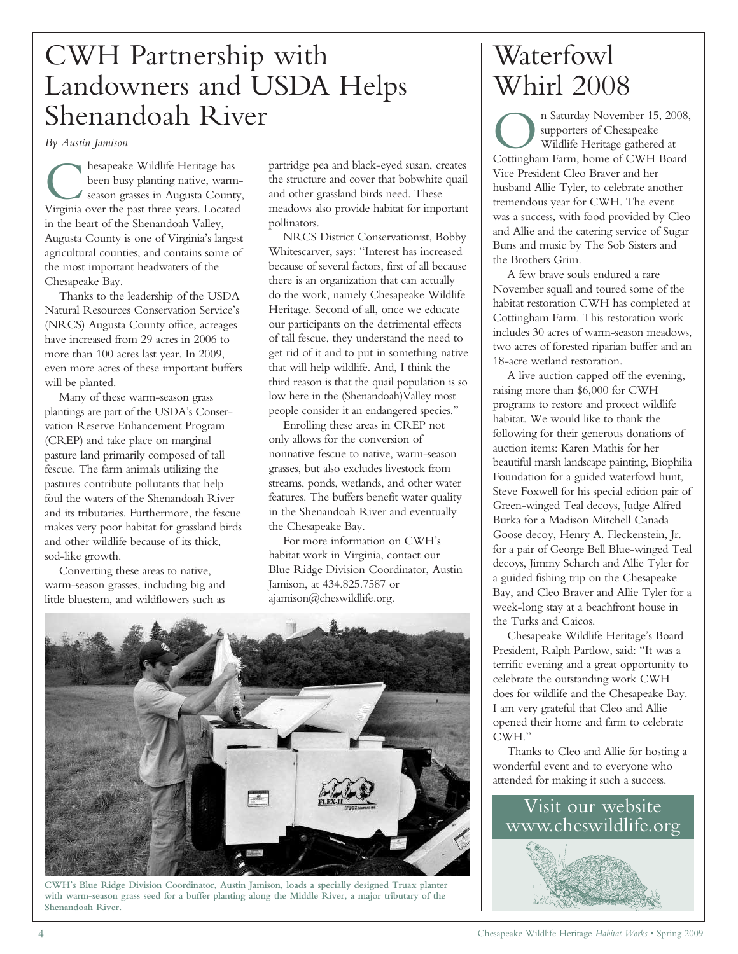## CWH Partnership with Landowners and USDA Helps Shenandoah River

*By Austin Jamison*

**C** hesapeake Wildlife Heritage has<br>been busy planting native, warm-<br>season grasses in Augusta County<br>Virginia over the past three years. Located hesapeake Wildlife Heritage has been busy planting native, warmseason grasses in Augusta County, in the heart of the Shenandoah Valley, Augusta County is one of Virginia's largest agricultural counties, and contains some of the most important headwaters of the Chesapeake Bay.

Thanks to the leadership of the USDA Natural Resources Conservation Service's (NRCS) Augusta County office, acreages have increased from 29 acres in 2006 to more than 100 acres last year. In 2009, even more acres of these important buffers will be planted.

Many of these warm-season grass plantings are part of the USDA's Conservation Reserve Enhancement Program (CREP) and take place on marginal pasture land primarily composed of tall fescue. The farm animals utilizing the pastures contribute pollutants that help foul the waters of the Shenandoah River and its tributaries. Furthermore, the fescue makes very poor habitat for grassland birds and other wildlife because of its thick, sod-like growth.

Converting these areas to native, warm-season grasses, including big and little bluestem, and wildflowers such as

partridge pea and black-eyed susan, creates the structure and cover that bobwhite quail and other grassland birds need. These meadows also provide habitat for important pollinators.

NRCS District Conservationist, Bobby Whitescarver, says: "Interest has increased because of several factors, first of all because there is an organization that can actually do the work, namely Chesapeake Wildlife Heritage. Second of all, once we educate our participants on the detrimental effects of tall fescue, they understand the need to get rid of it and to put in something native that will help wildlife. And, I think the third reason is that the quail population is so low here in the (Shenandoah)Valley most people consider it an endangered species."

Enrolling these areas in CREP not only allows for the conversion of nonnative fescue to native, warm-season grasses, but also excludes livestock from streams, ponds, wetlands, and other water features. The buffers benefit water quality in the Shenandoah River and eventually the Chesapeake Bay.

For more information on CWH's habitat work in Virginia, contact our Blue Ridge Division Coordinator, Austin Jamison, at 434.825.7587 or ajamison@cheswildlife.org.



**CWH's Blue Ridge Division Coordinator, Austin Jamison, loads a specially designed Truax planter with warm-season grass seed for a buffer planting along the Middle River, a major tributary of the Shenandoah River.**

## Waterfowl Whirl 2008

<sup>n</sup> Saturday November 15, 2008<br>
supporters of Chesapeake<br>
Wildlife Heritage gathered at<br>
Cottingham Farm, home of CWH Board n Saturday November 15, 2008, supporters of Chesapeake Wildlife Heritage gathered at Vice President Cleo Braver and her husband Allie Tyler, to celebrate another tremendous year for CWH. The event was a success, with food provided by Cleo and Allie and the catering service of Sugar Buns and music by The Sob Sisters and the Brothers Grim.

A few brave souls endured a rare November squall and toured some of the habitat restoration CWH has completed at Cottingham Farm. This restoration work includes 30 acres of warm-season meadows, two acres of forested riparian buffer and an 18-acre wetland restoration.

A live auction capped off the evening, raising more than \$6,000 for CWH programs to restore and protect wildlife habitat. We would like to thank the following for their generous donations of auction items: Karen Mathis for her beautiful marsh landscape painting, Biophilia Foundation for a guided waterfowl hunt, Steve Foxwell for his special edition pair of Green-winged Teal decoys, Judge Alfred Burka for a Madison Mitchell Canada Goose decoy, Henry A. Fleckenstein, Jr. for a pair of George Bell Blue-winged Teal decoys, Jimmy Scharch and Allie Tyler for a guided fishing trip on the Chesapeake Bay, and Cleo Braver and Allie Tyler for a week-long stay at a beachfront house in the Turks and Caicos.

Chesapeake Wildlife Heritage's Board President, Ralph Partlow, said: "It was a terrific evening and a great opportunity to celebrate the outstanding work CWH does for wildlife and the Chesapeake Bay. I am very grateful that Cleo and Allie opened their home and farm to celebrate CWH."

Thanks to Cleo and Allie for hosting a wonderful event and to everyone who attended for making it such a success.

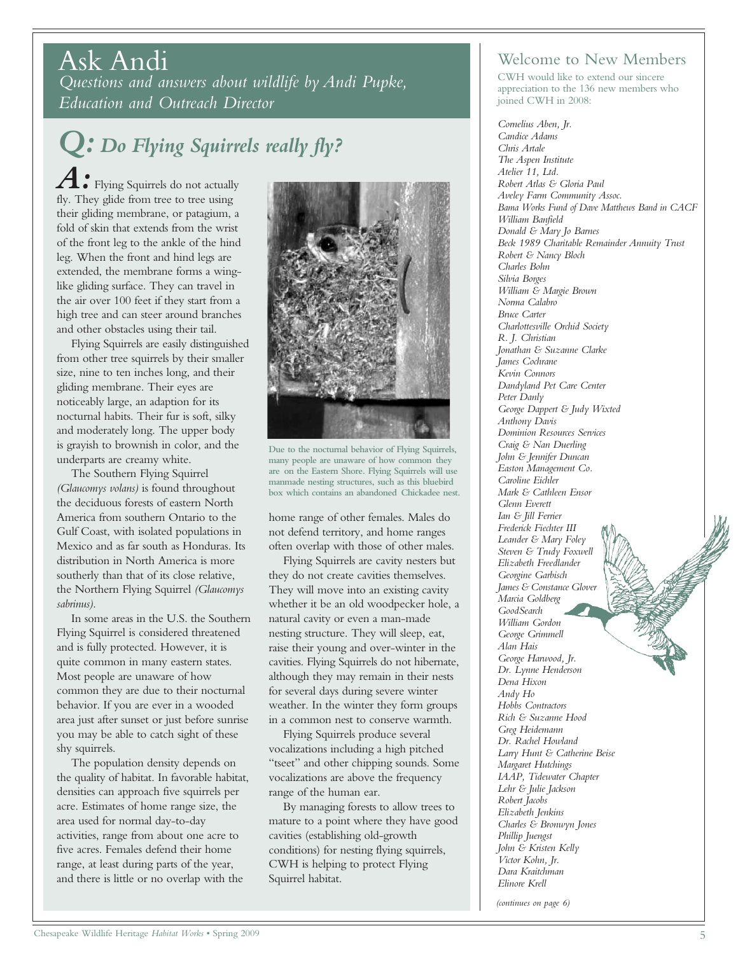### Ask Andi

*Questions and answers about wildlife by Andi Pupke, Education and Outreach Director*

# *Q: Do Flying Squirrels really fly?*

*A:* Flying Squirrels do not actually fly. They glide from tree to tree using their gliding membrane, or patagium, a fold of skin that extends from the wrist of the front leg to the ankle of the hind leg. When the front and hind legs are extended, the membrane forms a winglike gliding surface. They can travel in the air over 100 feet if they start from a high tree and can steer around branches and other obstacles using their tail.

Flying Squirrels are easily distinguished from other tree squirrels by their smaller size, nine to ten inches long, and their gliding membrane. Their eyes are noticeably large, an adaption for its nocturnal habits. Their fur is soft, silky and moderately long. The upper body is grayish to brownish in color, and the underparts are creamy white.

The Southern Flying Squirrel *(Glaucomys volans)* is found throughout the deciduous forests of eastern North America from southern Ontario to the Gulf Coast, with isolated populations in Mexico and as far south as Honduras. Its distribution in North America is more southerly than that of its close relative, the Northern Flying Squirrel *(Glaucomys sabrinus)*.

In some areas in the U.S. the Southern Flying Squirrel is considered threatened and is fully protected. However, it is quite common in many eastern states. Most people are unaware of how common they are due to their nocturnal behavior. If you are ever in a wooded area just after sunset or just before sunrise you may be able to catch sight of these shy squirrels.

The population density depends on the quality of habitat. In favorable habitat, densities can approach five squirrels per acre. Estimates of home range size, the area used for normal day-to-day activities, range from about one acre to five acres. Females defend their home range, at least during parts of the year, and there is little or no overlap with the



**Due to the nocturnal behavior of Flying Squirrels, many people are unaware of how common they are on the Eastern Shore. Flying Squirrels will use manmade nesting structures, such as this bluebird box which contains an abandoned Chickadee nest.**

home range of other females. Males do not defend territory, and home ranges often overlap with those of other males.

Flying Squirrels are cavity nesters but they do not create cavities themselves. They will move into an existing cavity whether it be an old woodpecker hole, a natural cavity or even a man-made nesting structure. They will sleep, eat, raise their young and over-winter in the cavities. Flying Squirrels do not hibernate, although they may remain in their nests for several days during severe winter weather. In the winter they form groups in a common nest to conserve warmth.

Flying Squirrels produce several vocalizations including a high pitched "tseet" and other chipping sounds. Some vocalizations are above the frequency range of the human ear.

By managing forests to allow trees to mature to a point where they have good cavities (establishing old-growth conditions) for nesting flying squirrels, CWH is helping to protect Flying Squirrel habitat.

### Welcome to New Members

CWH would like to extend our sincere appreciation to the 136 new members who joined CWH in 2008:

*Cornelius Aben, Jr. Candice Adams Chris Artale The Aspen Institute Atelier 11, Ltd. Robert Atlas & Gloria Paul Aveley Farm Community Assoc. Bama Works Fund of Dave Matthews Band in CACF William Banfield Donald & Mary Jo Barnes Beck 1989 Charitable Remainder Annuity Trust Robert & Nancy Bloch Charles Bohn Silvia Borges William & Margie Brown Norma Calabro Bruce Carter Charlottesville Orchid Society R. J. Christian Jonathan & Suzanne Clarke James Cochrane Kevin Connors Dandyland Pet Care Center Peter Danly George Dappert & Judy Wixted Anthony Davis Dominion Resources Services Craig & Nan Duerling John & Jennifer Duncan Easton Management Co. Caroline Eichler Mark & Cathleen Ensor Glenn Everett Ian & Jill Ferrier Frederick Fiechter III Leander & Mary Foley Steven & Trudy Foxwell Elizabeth Freedlander Georgine Garbisch James & Constance Glover Marcia Goldberg GoodSearch William Gordon George Grimmell Alan Hais George Harwood, Jr. Dr. Lynne Henderson Dena Hixon Andy Ho Hobbs Contractors Rich & Suzanne Hood Greg Heidemann Dr. Rachel Howland Larry Hunt & Catherine Beise Margaret Hutchings IAAP, Tidewater Chapter Lehr & Julie Jackson Robert Jacobs Elizabeth Jenkins Charles & Bronwyn Jones Phillip Juengst John & Kristen Kelly Victor Kohn, Jr. Dara Kraitchman Elinore Krell*

*(continues on page 6)*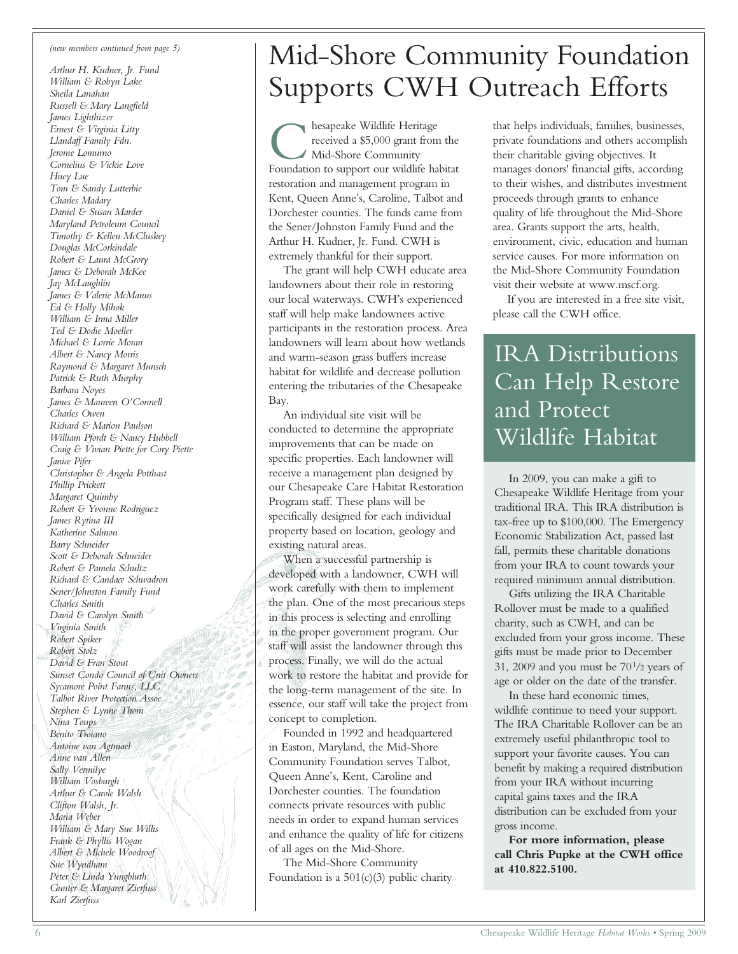#### *(new members continued from page 5)*

*Arthur H. Kudner, Jr. Fund William & Robyn Lake Sheila Lanahan Russell & Mary Langfield James Lighthizer Ernest & Virginia Litty Llandaff Family Fdn. Jerome Lomurno Cornelius & Vickie Love Huey Lue Tom & Sandy Lutterbie Charles Madary Daniel & Susan Marder Maryland Petroleum Council Timothy & Kellen McCluskey Douglas McCorkindale Robert & Laura McGrory James & Deborah McKee Jay McLaughlin James & Valerie McManus Ed & Holly Mihok William & Irma Miller Ted & Dodie Moeller Michael & Lorrie Moran Albert & Nancy Morris Raymond & Margaret Munsch Patrick & Ruth Murphy Barbara Noyes James & Maureen O'Connell Charles Owen Richard & Marion Paulson William Pfordt & Nancy Hubbell Craig & Vivian Piette for Cory Piette Janice Pifer Christopher & Angela Potthast Phillip Prickett Margaret Quimby Robert & Yvonne Rodriguez James Rytina III Katherine Salmon Barry Schneider Scott & Deborah Schneider Robert & Pamela Schultz Richard & Candace Schwadron Sener/Johnston Family Fund Charles Smith David & Carolyn Smith Virginia Smith Robert Spiker Robert Stolz David & Fran Stout Sunset Condo Council of Unit Owners Sycamore Point Farms, LLC Talbot River Protection Assoc. Stephen & Lynne Thom Nina Toups Benito Troiano Antoine van Agtmael Anne van Allen Sally Vermilye William Vosburgh Arthur & Carole Walsh Clifton Walsh, Jr. Maria Weber William & Mary Sue Willis Frank & Phyllis Wogan Albert & Michele Woodroof Sue Wyndham Peter & Linda Yungbluth Gunter & Margaret Zierfuss Karl Zierfuss*

# Mid-Shore Community Foundation Supports CWH Outreach Efforts

**C** hesapeake Wildlife Heritage<br>received a \$5,000 grant from the<br>Foundation to support our wildlife habitat hesapeake Wildlife Heritage received a \$5,000 grant from the Mid-Shore Community restoration and management program in Kent, Queen Anne's, Caroline, Talbot and Dorchester counties. The funds came from the Sener/Johnston Family Fund and the Arthur H. Kudner, Jr. Fund. CWH is extremely thankful for their support.

The grant will help CWH educate area landowners about their role in restoring our local waterways. CWH's experienced staff will help make landowners active participants in the restoration process. Area landowners will learn about how wetlands and warm-season grass buffers increase habitat for wildlife and decrease pollution entering the tributaries of the Chesapeake Bay.

An individual site visit will be conducted to determine the appropriate improvements that can be made on specific properties. Each landowner will receive a management plan designed by our Chesapeake Care Habitat Restoration Program staff. These plans will be specifically designed for each individual property based on location, geology and existing natural areas.

When a successful partnership is developed with a landowner, CWH will work carefully with them to implement the plan. One of the most precarious steps in this process is selecting and enrolling in the proper government program. Our staff will assist the landowner through this process. Finally, we will do the actual work to restore the habitat and provide for the long-term management of the site. In essence, our staff will take the project from concept to completion.

Founded in 1992 and headquartered in Easton, Maryland, the Mid-Shore Community Foundation serves Talbot, Queen Anne's, Kent, Caroline and Dorchester counties. The foundation connects private resources with public needs in order to expand human services and enhance the quality of life for citizens of all ages on the Mid-Shore.

The Mid-Shore Community Foundation is a  $501(c)(3)$  public charity that helps individuals, families, businesses, private foundations and others accomplish their charitable giving objectives. It manages donors' financial gifts, according to their wishes, and distributes investment proceeds through grants to enhance quality of life throughout the Mid-Shore area. Grants support the arts, health, environment, civic, education and human service causes. For more information on the Mid-Shore Community Foundation visit their website at www.mscf.org.

If you are interested in a free site visit, please call the CWH office.

### IRA Distributions Can Help Restore and Protect Wildlife Habitat

In 2009, you can make a gift to Chesapeake Wildlife Heritage from your traditional IRA. This IRA distribution is tax-free up to \$100,000. The Emergency Economic Stabilization Act, passed last fall, permits these charitable donations from your IRA to count towards your required minimum annual distribution.

Gifts utilizing the IRA Charitable Rollover must be made to a qualified charity, such as CWH, and can be excluded from your gross income. These gifts must be made prior to December 31, 2009 and you must be  $70\frac{1}{2}$  years of age or older on the date of the transfer.

In these hard economic times, wildlife continue to need your support. The IRA Charitable Rollover can be an extremely useful philanthropic tool to support your favorite causes. You can benefit by making a required distribution from your IRA without incurring capital gains taxes and the IRA distribution can be excluded from your gross income.

**For more information, please call Chris Pupke at the CWH office at 410.822.5100.**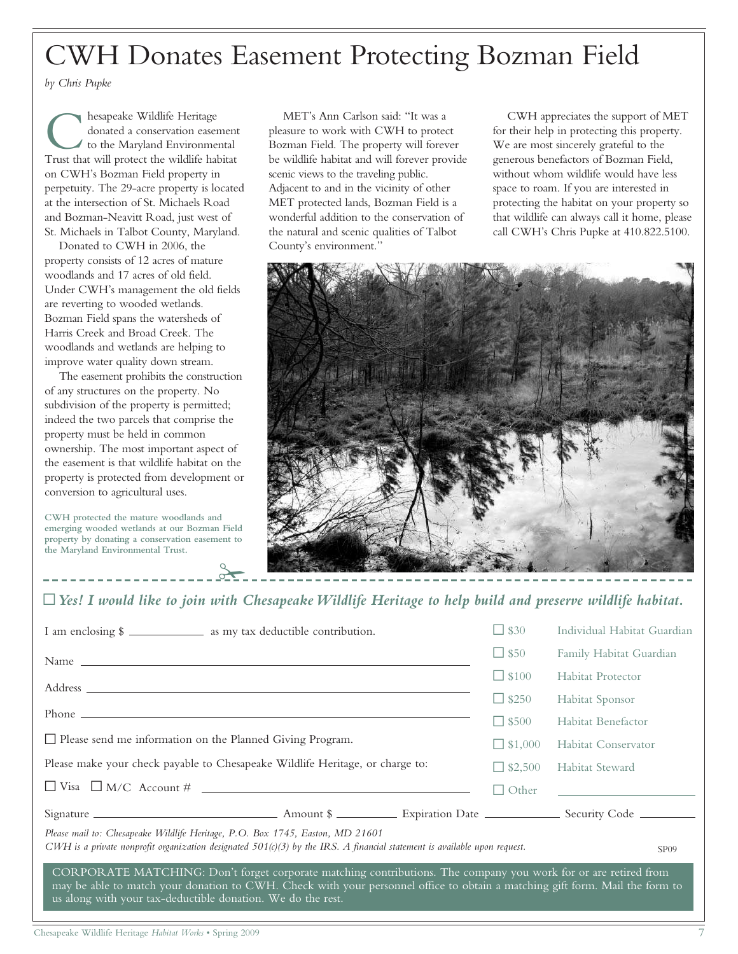# CWH Donates Easement Protecting Bozman Field

*by Chris Pupke*

 $\begin{tabular}{|c|c|} \hline & hesapeake Wildlife Heritage & \textit{donated a conservation easemen} \\ \hline \textit{to the Maryland Environmental Trust that will protect the Wildlife habitat} \end{tabular}$ hesapeake Wildlife Heritage donated a conservation easement to the Maryland Environmental on CWH's Bozman Field property in perpetuity. The 29-acre property is located at the intersection of St. Michaels Road and Bozman-Neavitt Road, just west of St. Michaels in Talbot County, Maryland.

Donated to CWH in 2006, the property consists of 12 acres of mature woodlands and 17 acres of old field. Under CWH's management the old fields are reverting to wooded wetlands. Bozman Field spans the watersheds of Harris Creek and Broad Creek. The woodlands and wetlands are helping to improve water quality down stream.

The easement prohibits the construction of any structures on the property. No subdivision of the property is permitted; indeed the two parcels that comprise the property must be held in common ownership. The most important aspect of the easement is that wildlife habitat on the property is protected from development or conversion to agricultural uses.

**CWH protected the mature woodlands and emerging wooded wetlands at our Bozman Field property by donating a conservation easement to the Maryland Environmental Trust.**

 $\sigma$ 

MET's Ann Carlson said: "It was a pleasure to work with CWH to protect Bozman Field. The property will forever be wildlife habitat and will forever provide scenic views to the traveling public. Adjacent to and in the vicinity of other MET protected lands, Bozman Field is a wonderful addition to the conservation of the natural and scenic qualities of Talbot County's environment."

CWH appreciates the support of MET for their help in protecting this property. We are most sincerely grateful to the generous benefactors of Bozman Field, without whom wildlife would have less space to roam. If you are interested in protecting the habitat on your property so that wildlife can always call it home, please call CWH's Chris Pupke at 410.822.5100.



### ~*Yes! I would like to join with Chesapeake Wildlife Heritage to help build and preserve wildlife habitat.*

| I am enclosing \$                                                                                                                                                                                                                                                                                              |  | $\Box$ \$30    | Individual Habitat Guardian |
|----------------------------------------------------------------------------------------------------------------------------------------------------------------------------------------------------------------------------------------------------------------------------------------------------------------|--|----------------|-----------------------------|
|                                                                                                                                                                                                                                                                                                                |  | $\Box$ \$50    | Family Habitat Guardian     |
|                                                                                                                                                                                                                                                                                                                |  | $\Box$ \$100   | <b>Habitat Protector</b>    |
|                                                                                                                                                                                                                                                                                                                |  | $\Box$ \$250   | Habitat Sponsor             |
|                                                                                                                                                                                                                                                                                                                |  | $\Box$ \$500   | Habitat Benefactor          |
| □ Please send me information on the Planned Giving Program.                                                                                                                                                                                                                                                    |  | $\Box$ \$1,000 | Habitat Conservator         |
| Please make your check payable to Chesapeake Wildlife Heritage, or charge to:                                                                                                                                                                                                                                  |  | $\Box$ \$2,500 | <b>Habitat Steward</b>      |
|                                                                                                                                                                                                                                                                                                                |  | $\Box$ Other   |                             |
|                                                                                                                                                                                                                                                                                                                |  |                |                             |
| Please mail to: Chesapeake Wildlife Heritage, P.O. Box 1745, Easton, MD 21601<br>CWH is a private nonprofit organization designated 501(c)(3) by the IRS. A financial statement is available upon request.<br>SP <sub>09</sub>                                                                                 |  |                |                             |
| CORPORATE MATCHING: Don't forget corporate matching contributions. The company you work for or are retired from<br>may be able to match your donation to CWH. Check with your personnel office to obtain a matching gift form. Mail the form to<br>us along with your tax-deductible donation. We do the rest. |  |                |                             |